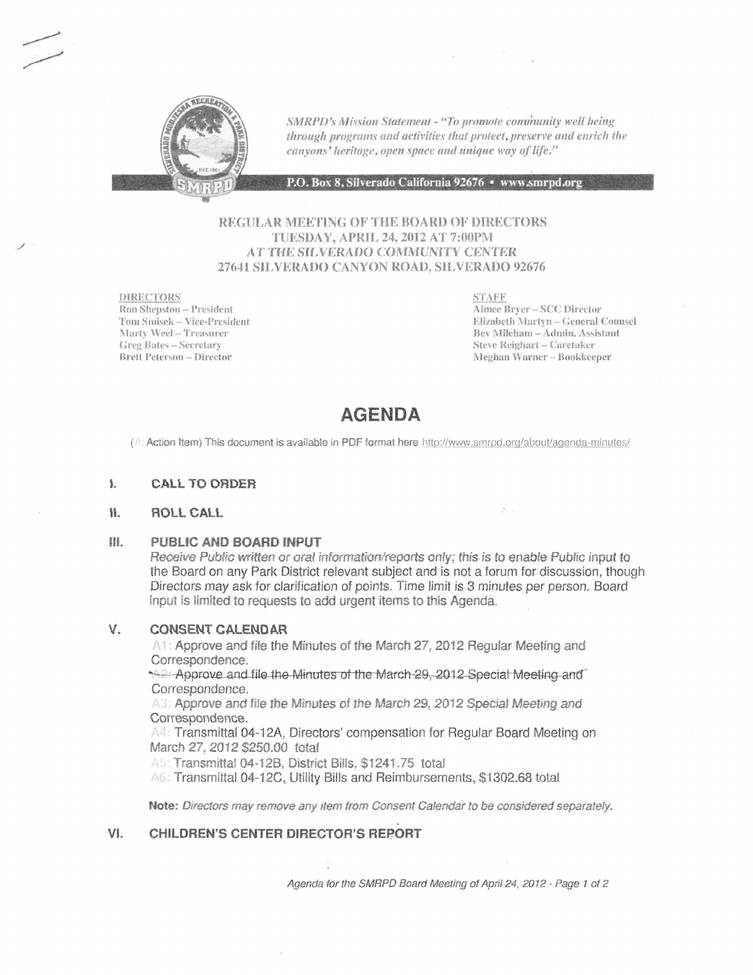

SMRPD's Mission Statement - "To promote community well being through programs and activities that protect, preserve and enrich the canyons' heritage, open space and unique way of life."

P.O. Box 8, Silverado California 92676 · www.smrpd.org

# REGULAR MEETING OF THE BOARD OF DIRECTORS TUESDAY, APRIL 24, 2012 AT 7:00PM AT THE SILVERADO COMMUNITY CENTER 27641 SILVERADO CANYON ROAD, SILVERADO 92676

**DIRECTORS** Ron Shepston -- President Tom Smisek -- Vice-President Marty Weel - Treasurer **Greg Bates - Secretary Brett Peterson - Director** 

**STAFF** Aimee Bryer-SCC Director Elizabeth Martyn - General Counsel Bev Mileham - Admin. Assistant Steve Reighart - Caretaker Meghan Warner-Bookkeeper

 $\frac{1}{2}$ 

# **AGENDA**

(A: Action Item) This document is available in PDF format here http://www.smrpd.org/about/agenda-minutes/

#### ł. **CALL TO ORDER**

#### 11. ROLL CALL

#### H PUBLIC AND BOARD INPUT

Receive Public written or oral information/reports only; this is to enable Public input to the Board on any Park District relevant subject and is not a forum for discussion, though Directors may ask for clarification of points. Time limit is 3 minutes per person. Board input is limited to requests to add urgent items to this Agenda.

#### V. **CONSENT CALENDAR**

A1: Approve and file the Minutes of the March 27, 2012 Regular Meeting and Correspondence.

Approve and file the Minutes of the March 29, 2012 Special Meeting and Correspondence.

A3: Approve and file the Minutes of the March 29, 2012 Special Meeting and Correspondence.

A4: Transmittal 04-12A, Directors' compensation for Regular Board Meeting on March 27, 2012 \$250.00 total

A5: Transmittal 04-12B, District Bills, \$1241.75 total

A6: Transmittal 04-12C, Utility Bills and Reimbursements, \$1302.68 total

Note: Directors may remove any item from Consent Calendar to be considered separately.

### **CHILDREN'S CENTER DIRECTOR'S REPORT** VI.

Agenda for the SMRPD Board Meeting of April 24, 2012 - Page 1 of 2